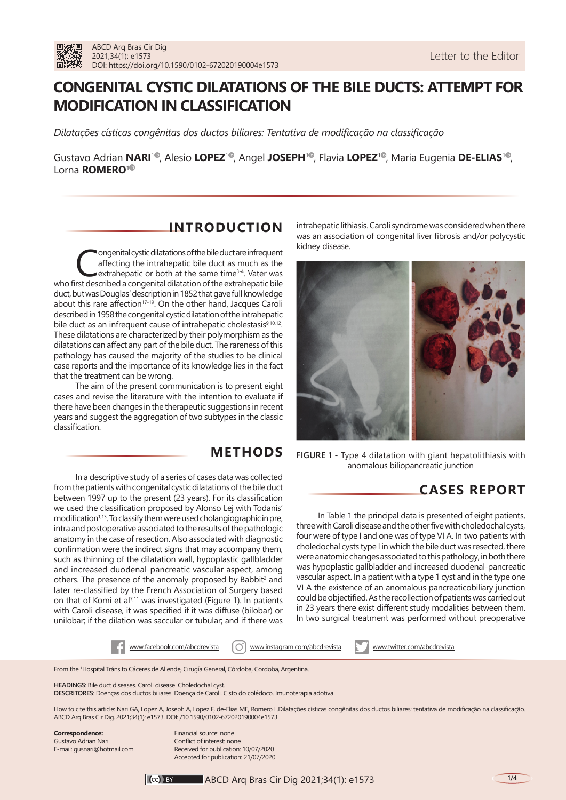

# **CONGENITAL CYSTIC DILATATIONS OF THE BILE DUCTS: ATTEMPT FOR MODIFICATION IN CLASSIFICATION**

*Dilatações císticas congênitas dos ductos biliares: Tentativa de modificação na classificação*

Gustavo Adrian **NARI<sup>[1](https://orcid.org/0000-0001-8412-6265)0</sup>**[,](https://orcid.org/0000-0001-8708-9017) Alesio LOPEZ<sup>10</sup>[,](https://orcid.org/0000-0003-4619-4149) Angel JOSEPH<sup>10</sup>, Flavia LOPEZ<sup>10</sup>, Maria Eugenia DE-ELIAS<sup>10</sup>, Lorna **ROMERO**[1](https://orcid.org/0000-0002-9679-8031)

### **INTRODUCTION**

Congenital cystic dilatations of the bile duct are infrequent<br>
affecting the intrahepatic bile duct as much as the<br>
extrahepatic or both at the same time<sup>3-4</sup>. Vater was<br>
rst described a congenital dilatation of the extrah affecting the intrahepatic bile duct as much as the who first described a congenital dilatation of the extrahepatic bile duct, but was Douglas' description in 1852 that gave full knowledge about this rare affection<sup>17-19</sup>. On the other hand, Jacques Caroli described in 1958 the congenital cystic dilatation of the intrahepatic bile duct as an infrequent cause of intrahepatic cholestasis<sup>9,10,12</sup>. These dilatations are characterized by their polymorphism as the dilatations can affect any part of the bile duct. The rareness of this pathology has caused the majority of the studies to be clinical case reports and the importance of its knowledge lies in the fact that the treatment can be wrong.

The aim of the present communication is to present eight cases and revise the literature with the intention to evaluate if there have been changes in the therapeutic suggestions in recent years and suggest the aggregation of two subtypes in the classic classification.

## **METHODS**

In a descriptive study of a series of cases data was collected from the patients with congenital cystic dilatations of the bile duct between 1997 up to the present (23 years). For its classification we used the classification proposed by Alonso Lej with Todanis' modification<sup>1,13</sup>. To classify them were used cholangiographic in pre, intra and postoperative associated to the results of the pathologic anatomy in the case of resection. Also associated with diagnostic confirmation were the indirect signs that may accompany them, such as thinning of the dilatation wall, hypoplastic gallbladder and increased duodenal-pancreatic vascular aspect, among others. The presence of the anomaly proposed by Babbit<sup>2</sup> and later re-classified by the French Association of Surgery based on that of Komi et al<sup>7,11</sup> was investigated (Figure 1). In patients with Caroli disease, it was specified if it was diffuse (bilobar) or unilobar; if the dilation was saccular or tubular; and if there was

intrahepatic lithiasis. Caroli syndrome was considered when there was an association of congenital liver fibrosis and/or polycystic kidney disease.



**FIGURE 1** - Type 4 dilatation with giant hepatolithiasis with anomalous biliopancreatic junction

## **CASES REPORT**

In Table 1 the principal data is presented of eight patients, three with Caroli disease and the other five with choledochal cysts, four were of type I and one was of type VI A. In two patients with choledochal cysts type I in which the bile duct was resected, there were anatomic changes associated to this pathology, in both there was hypoplastic gallbladder and increased duodenal-pancreatic vascular aspect. In a patient with a type 1 cyst and in the type one VI A the existence of an anomalous pancreaticobiliary junction could be objectified. As the recollection of patients was carried out in 23 years there exist different study modalities between them. In two surgical treatment was performed without preoperative

www.facebook.com/abcdrevista | O | www.instagram.com/abcdrevista www.twitter.com/abcdrevista

From the 1 Hospital Tránsito Cáceres de Allende, Cirugía General, Córdoba, Cordoba, Argentina.

**HEADINGS**: Bile duct diseases. Caroli disease. Choledochal cyst.

**DESCRITORES**: Doenças dos ductos biliares. Doença de Caroli. Cisto do colédoco. Imunoterapia adotiva

How to cite this article: Nari GA, Lopez A, Joseph A, Lopez F, de-Elias ME, Romero L.Dilatações císticas congênitas dos ductos biliares: tentativa de modificação na classificação. ABCD Arq Bras Cir Dig. 2021;34(1): e1573. DOI: /10.1590/0102-672020190004e1573

**Correspondence:**  Gustavo Adrian Nari E-mail: gusnari@hotmail.com Financial source: none Conflict of interest: none Received for publication: 10/07/2020 Accepted for publication: 21/07/2020

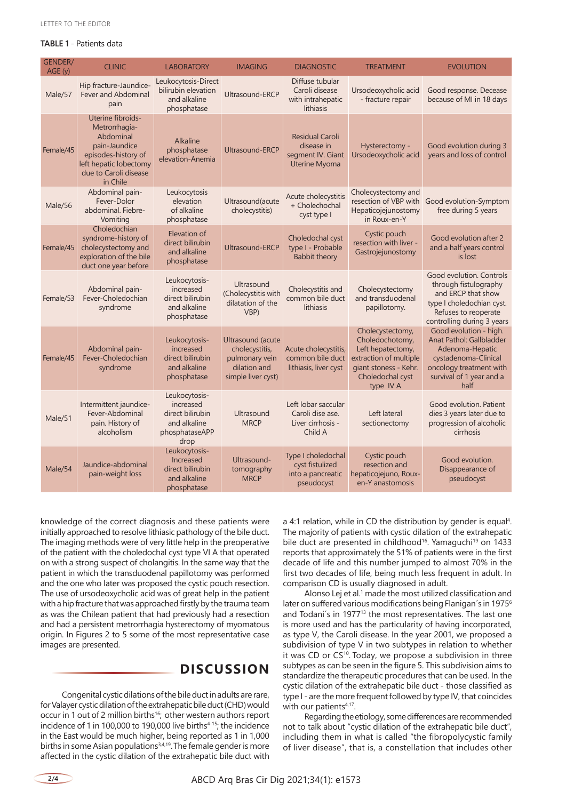### **TABLE 1** - Patients data

| <b>GENDER/</b><br>AGE(y) | <b>CLINIC</b>                                                                                                                                          | <b>LABORATORY</b>                                                                        | <b>IMAGING</b>                                                                              | <b>DIAGNOSTIC</b>                                                          | <b>TREATMENT</b>                                                                                                                             | <b>EVOLUTION</b>                                                                                                                                             |
|--------------------------|--------------------------------------------------------------------------------------------------------------------------------------------------------|------------------------------------------------------------------------------------------|---------------------------------------------------------------------------------------------|----------------------------------------------------------------------------|----------------------------------------------------------------------------------------------------------------------------------------------|--------------------------------------------------------------------------------------------------------------------------------------------------------------|
| Male/57                  | Hip fracture-Jaundice-<br><b>Fever and Abdominal</b><br>pain                                                                                           | Leukocytosis-Direct<br>bilirubin elevation<br>and alkaline<br>phosphatase                | Ultrasound-ERCP                                                                             | Diffuse tubular<br>Caroli disease<br>with intrahepatic<br>lithiasis        | Ursodeoxycholic acid<br>- fracture repair                                                                                                    | Good response. Decease<br>because of MI in 18 days                                                                                                           |
| Female/45                | Uterine fibroids-<br>Metrorrhagia-<br>Abdominal<br>pain-Jaundice<br>episodes-history of<br>left hepatic lobectomy<br>due to Caroli disease<br>in Chile | <b>Alkaline</b><br>phosphatase<br>elevation-Anemia                                       | <b>Ultrasound-ERCP</b>                                                                      | <b>Residual Caroli</b><br>disease in<br>segment IV. Giant<br>Uterine Myoma | Hysterectomy -<br>Ursodeoxycholic acid                                                                                                       | Good evolution during 3<br>years and loss of control                                                                                                         |
| Male/56                  | Abdominal pain-<br>Fever-Dolor<br>abdominal. Fiebre-<br>Vomiting                                                                                       | Leukocytosis<br>elevation<br>of alkaline<br>phosphatase                                  | Ultrasound(acute<br>cholecystitis)                                                          | Acute cholecystitis<br>+ Cholechochal<br>cyst type I                       | Cholecystectomy and<br>resection of VBP with<br>Hepaticojejunostomy<br>in Roux-en-Y                                                          | Good evolution-Symptom<br>free during 5 years                                                                                                                |
| Female/45                | Choledochian<br>syndrome-history of<br>cholecystectomy and<br>exploration of the bile<br>duct one year before                                          | Elevation of<br>direct bilirubin<br>and alkaline<br>phosphatase                          | Ultrasound-ERCP                                                                             | Choledochal cyst<br>type I - Probable<br>Babbit theory                     | Cystic pouch<br>resection with liver -<br>Gastrojejunostomy                                                                                  | Good evolution after 2<br>and a half years control<br>is lost                                                                                                |
| Female/53                | Abdominal pain-<br>Fever-Choledochian<br>syndrome                                                                                                      | Leukocytosis-<br>increased<br>direct bilirubin<br>and alkaline<br>phosphatase            | Ultrasound<br>(Cholecystitis with<br>dilatation of the<br>VBP)                              | Cholecystitis and<br>common bile duct<br>lithiasis                         | Cholecystectomy<br>and transduodenal<br>papillotomy.                                                                                         | Good evolution. Controls<br>through fistulography<br>and ERCP that show<br>type I choledochian cyst.<br>Refuses to reoperate<br>controlling during 3 years   |
| Female/45                | Abdominal pain-<br>Fever-Choledochian<br>syndrome                                                                                                      | Leukocytosis-<br>increased<br>direct bilirubin<br>and alkaline<br>phosphatase            | Ultrasound (acute<br>cholecystitis,<br>pulmonary vein<br>dilation and<br>simple liver cyst) | Acute cholecystitis,<br>common bile duct<br>lithiasis, liver cyst          | Cholecystectomy,<br>Choledochotomy,<br>Left hepatectomy,<br>extraction of multiple<br>giant stoness - Kehr.<br>Choledochal cyst<br>type IV A | Good evolution - high.<br>Anat Pathol: Gallbladder<br>Adenoma-Hepatic<br>cystadenoma-Clinical<br>oncology treatment with<br>survival of 1 year and a<br>half |
| Male/51                  | Intermittent jaundice-<br>Fever-Abdominal<br>pain. History of<br>alcoholism                                                                            | Leukocytosis-<br>increased<br>direct bilirubin<br>and alkaline<br>phosphataseAPP<br>drop | Ultrasound<br><b>MRCP</b>                                                                   | Left lobar saccular<br>Caroli dise ase.<br>Liver cirrhosis -<br>Child A    | Left lateral<br>sectionectomy                                                                                                                | Good evolution. Patient<br>dies 3 years later due to<br>progression of alcoholic<br>cirrhosis                                                                |
| Male/54                  | Jaundice-abdominal<br>pain-weight loss                                                                                                                 | Leukocytosis-<br>Increased<br>direct bilirubin<br>and alkaline<br>phosphatase            | Ultrasound-<br>tomography<br><b>MRCP</b>                                                    | Type I choledochal<br>cyst fistulized<br>into a pancreatic<br>pseudocyst   | Cystic pouch<br>resection and<br>hepaticojejuno, Roux-<br>en-Y anastomosis                                                                   | Good evolution.<br>Disappearance of<br>pseudocyst                                                                                                            |

knowledge of the correct diagnosis and these patients were initially approached to resolve lithiasic pathology of the bile duct. The imaging methods were of very little help in the preoperative of the patient with the choledochal cyst type VI A that operated on with a strong suspect of cholangitis. In the same way that the patient in which the transduodenal papillotomy was performed and the one who later was proposed the cystic pouch resection. The use of ursodeoxycholic acid was of great help in the patient with a hip fracture that was approached firstly by the trauma team as was the Chilean patient that had previously had a resection and had a persistent metrorrhagia hysterectomy of myomatous origin. In Figures 2 to 5 some of the most representative case images are presented.

### **DISCUSSION**

Congenital cystic dilations of the bile duct in adults are rare, for Valayer cystic dilation of the extrahepatic bile duct (CHD) would occur in 1 out of 2 million births<sup>16</sup>; other western authors report incidence of 1 in 100,000 to 190,000 live births<sup>4-15</sup>; the incidence in the East would be much higher, being reported as 1 in 1,000 births in some Asian populations<sup>3,4,19</sup>. The female gender is more affected in the cystic dilation of the extrahepatic bile duct with

a 4:1 relation, while in CD the distribution by gender is equal<sup>4</sup>. The majority of patients with cystic dilation of the extrahepatic bile duct are presented in childhood<sup>16</sup>. Yamaguchi<sup>19</sup> on 1433 reports that approximately the 51% of patients were in the first decade of life and this number jumped to almost 70% in the first two decades of life, being much less frequent in adult. In comparison CD is usually diagnosed in adult.

Alonso Lej et al.<sup>1</sup> made the most utilized classification and later on suffered various modifications being Flanigan's in 1975<sup>6</sup> and Todani's in 1977<sup>13</sup> the most representatives. The last one is more used and has the particularity of having incorporated, as type V, the Caroli disease. In the year 2001, we proposed a subdivision of type V in two subtypes in relation to whether it was CD or CS<sup>10</sup>. Today, we propose a subdivision in three subtypes as can be seen in the figure 5. This subdivision aims to standardize the therapeutic procedures that can be used. In the cystic dilation of the extrahepatic bile duct - those classified as type I - are the more frequent followed by type IV, that coincides with our patients<sup>4,17</sup>.

Regarding the etiology, some differences are recommended not to talk about "cystic dilation of the extrahepatic bile duct", including them in what is called "the fibropolycystic family of liver disease", that is, a constellation that includes other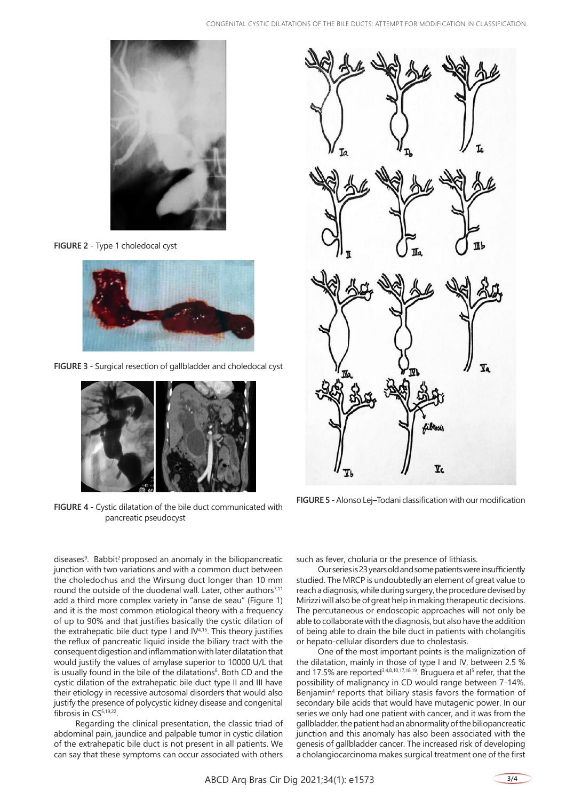

**FIGURE 2** - Type 1 choledocal cyst



**FIGURE 3** - Surgical resection of gallbladder and choledocal cyst



**FIGURE 4** - Cystic dilatation of the bile duct communicated with pancreatic pseudocyst

diseases<sup>9</sup>. Babbit<sup>2</sup> proposed an anomaly in the biliopancreatic junction with two variations and with a common duct between the choledochus and the Wirsung duct longer than 10 mm round the outside of the duodenal wall. Later, other authors $7,11$ add a third more complex variety in "anse de seau" (Figure 1) and it is the most common etiological theory with a frequency of up to 90% and that justifies basically the cystic dilation of the extrahepatic bile duct type I and  $IV<sup>4,15</sup>$ . This theory justifies the reflux of pancreatic liquid inside the biliary tract with the consequent digestion and inflammation with later dilatation that would justify the values of amylase superior to 10000 U/L that is usually found in the bile of the dilatations<sup>8</sup>. Both CD and the cystic dilation of the extrahepatic bile duct type II and III have their etiology in recessive autosomal disorders that would also justify the presence of polycystic kidney disease and congenital fibrosis in CS<sup>5,19,22</sup>.

Regarding the clinical presentation, the classic triad of abdominal pain, jaundice and palpable tumor in cystic dilation of the extrahepatic bile duct is not present in all patients. We can say that these symptoms can occur associated with others



**FIGURE 5** - Alonso Lej–Todani classification with our modification

such as fever, choluria or the presence of lithiasis.

Our series is 23 years old and some patients were insufficiently studied. The MRCP is undoubtedly an element of great value to reach a diagnosis, while during surgery, the procedure devised by Mirizzi will also be of great help in making therapeutic decisions. The percutaneous or endoscopic approaches will not only be able to collaborate with the diagnosis, but also have the addition of being able to drain the bile duct in patients with cholangitis or hepato-cellular disorders due to cholestasis.

One of the most important points is the malignization of the dilatation, mainly in those of type I and IV, between 2.5 % and 17.5% are reported<sup>3,4,8,10,17,18,19</sup>. Bruguera et al<sup>5</sup> refer, that the possibility of malignancy in CD would range between 7-14%. Benjamin<sup>4</sup> reports that biliary stasis favors the formation of secondary bile acids that would have mutagenic power. In our series we only had one patient with cancer, and it was from the gallbladder, the patient had an abnormality of the biliopancreatic junction and this anomaly has also been associated with the genesis of gallbladder cancer. The increased risk of developing a cholangiocarcinoma makes surgical treatment one of the first